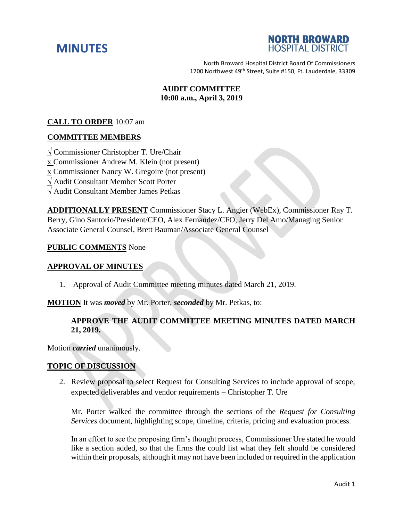



North Broward Hospital District Board Of Commissioners 1700 Northwest 49<sup>th</sup> Street, Suite #150, Ft. Lauderdale, 33309

# **AUDIT COMMITTEE 10:00 a.m., April 3, 2019**

## **CALL TO ORDER** 10:07 am

## **COMMITTEE MEMBERS**

√ Commissioner Christopher T. Ure/Chair

x Commissioner Andrew M. Klein (not present)

x Commissioner Nancy W. Gregoire (not present)

- √ Audit Consultant Member Scott Porter
- √ Audit Consultant Member James Petkas

**ADDITIONALLY PRESENT** Commissioner Stacy L. Angier (WebEx), Commissioner Ray T. Berry, Gino Santorio/President/CEO, Alex Fernandez/CFO, Jerry Del Amo/Managing Senior Associate General Counsel, Brett Bauman/Associate General Counsel

### **PUBLIC COMMENTS** None

### **APPROVAL OF MINUTES**

1. Approval of Audit Committee meeting minutes dated March 21, 2019.

**MOTION** It was *moved* by Mr. Porter, *seconded* by Mr. Petkas, to:

## **APPROVE THE AUDIT COMMITTEE MEETING MINUTES DATED MARCH 21, 2019.**

Motion *carried* unanimously.

## **TOPIC OF DISCUSSION**

2. Review proposal to select Request for Consulting Services to include approval of scope, expected deliverables and vendor requirements – Christopher T. Ure

Mr. Porter walked the committee through the sections of the *Request for Consulting Services* document, highlighting scope, timeline, criteria, pricing and evaluation process.

In an effort to see the proposing firm's thought process, Commissioner Ure stated he would like a section added, so that the firms the could list what they felt should be considered within their proposals, although it may not have been included or required in the application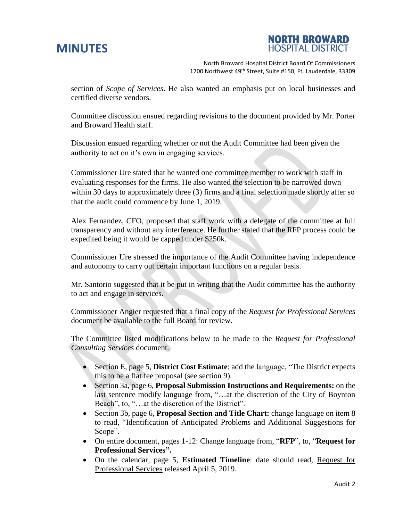# **MINUTES**



North Broward Hospital District Board Of Commissioners 1700 Northwest 49<sup>th</sup> Street, Suite #150, Ft. Lauderdale, 33309

section of *Scope of Services*. He also wanted an emphasis put on local businesses and certified diverse vendors.

Committee discussion ensued regarding revisions to the document provided by Mr. Porter and Broward Health staff.

Discussion ensued regarding whether or not the Audit Committee had been given the authority to act on it's own in engaging services.

Commissioner Ure stated that he wanted one committee member to work with staff in evaluating responses for the firms. He also wanted the selection to be narrowed down within 30 days to approximately three (3) firms and a final selection made shortly after so that the audit could commence by June 1, 2019.

Alex Fernandez, CFO, proposed that staff work with a delegate of the committee at full transparency and without any interference. He further stated that the RFP process could be expedited being it would be capped under \$250k.

Commissioner Ure stressed the importance of the Audit Committee having independence and autonomy to carry out certain important functions on a regular basis.

Mr. Santorio suggested that it be put in writing that the Audit committee has the authority to act and engage in services.

Commissioner Angier requested that a final copy of the *Request for Professional Services* document be available to the full Board for review.

The Committee listed modifications below to be made to the *Request for Professional Consulting Services* document.

- Section E, page 5, **District Cost Estimate**: add the language, "The District expects this to be a flat fee proposal (see section 9).
- Section 3a, page 6, **Proposal Submission Instructions and Requirements:** on the last sentence modify language from, "…at the discretion of the City of Boynton Beach", to, "…at the discretion of the District".
- Section 3b, page 6, **Proposal Section and Title Chart:** change language on item 8 to read, "Identification of Anticipated Problems and Additional Suggestions for Scope".
- On entire document, pages 1-12: Change language from, "**RFP**", to, "**Request for Professional Services".**
- On the calendar, page 5, **Estimated Timeline**: date should read, Request for Professional Services released April 5, 2019.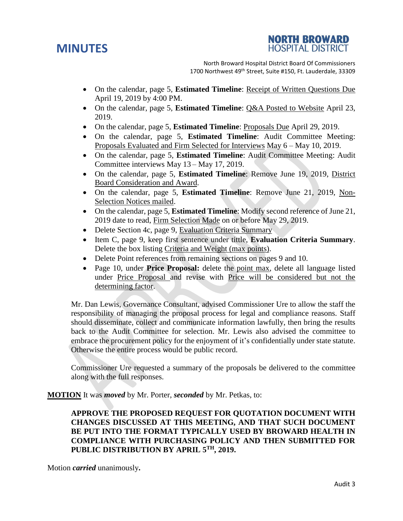# **MINUTES**



North Broward Hospital District Board Of Commissioners 1700 Northwest 49<sup>th</sup> Street, Suite #150, Ft. Lauderdale, 33309

- On the calendar, page 5, **Estimated Timeline**: Receipt of Written Questions Due April 19, 2019 by 4:00 PM.
- On the calendar, page 5, **Estimated Timeline**: Q&A Posted to Website April 23, 2019.
- On the calendar, page 5, **Estimated Timeline**: Proposals Due April 29, 2019.
- On the calendar, page 5, **Estimated Timeline**: Audit Committee Meeting: Proposals Evaluated and Firm Selected for Interviews May 6 – May 10, 2019.
- On the calendar, page 5, **Estimated Timeline**: Audit Committee Meeting: Audit Committee interviews May 13 – May 17, 2019.
- On the calendar, page 5, **Estimated Timeline**: Remove June 19, 2019, District Board Consideration and Award.
- On the calendar, page 5, **Estimated Timeline**: Remove June 21, 2019, Non-Selection Notices mailed.
- On the calendar, page 5, **Estimated Timeline**: Modify second reference of June 21, 2019 date to read, Firm Selection Made on or before May 29, 2019.
- Delete Section 4c, page 9, Evaluation Criteria Summary
- Item C, page 9, keep first sentence under tittle, **Evaluation Criteria Summary**. Delete the box listing Criteria and Weight (max points).
- Delete Point references from remaining sections on pages 9 and 10.
- Page 10, under **Price Proposal:** delete the point max, delete all language listed under Price Proposal and revise with Price will be considered but not the determining factor.

Mr. Dan Lewis, Governance Consultant, advised Commissioner Ure to allow the staff the responsibility of managing the proposal process for legal and compliance reasons. Staff should disseminate, collect and communicate information lawfully, then bring the results back to the Audit Committee for selection. Mr. Lewis also advised the committee to embrace the procurement policy for the enjoyment of it's confidentially under state statute. Otherwise the entire process would be public record.

Commissioner Ure requested a summary of the proposals be delivered to the committee along with the full responses.

**MOTION** It was *moved* by Mr. Porter, *seconded* by Mr. Petkas, to:

# **APPROVE THE PROPOSED REQUEST FOR QUOTATION DOCUMENT WITH CHANGES DISCUSSED AT THIS MEETING, AND THAT SUCH DOCUMENT BE PUT INTO THE FORMAT TYPICALLY USED BY BROWARD HEALTH IN COMPLIANCE WITH PURCHASING POLICY AND THEN SUBMITTED FOR PUBLIC DISTRIBUTION BY APRIL 5TH, 2019.**

Motion *carried* unanimously**.**